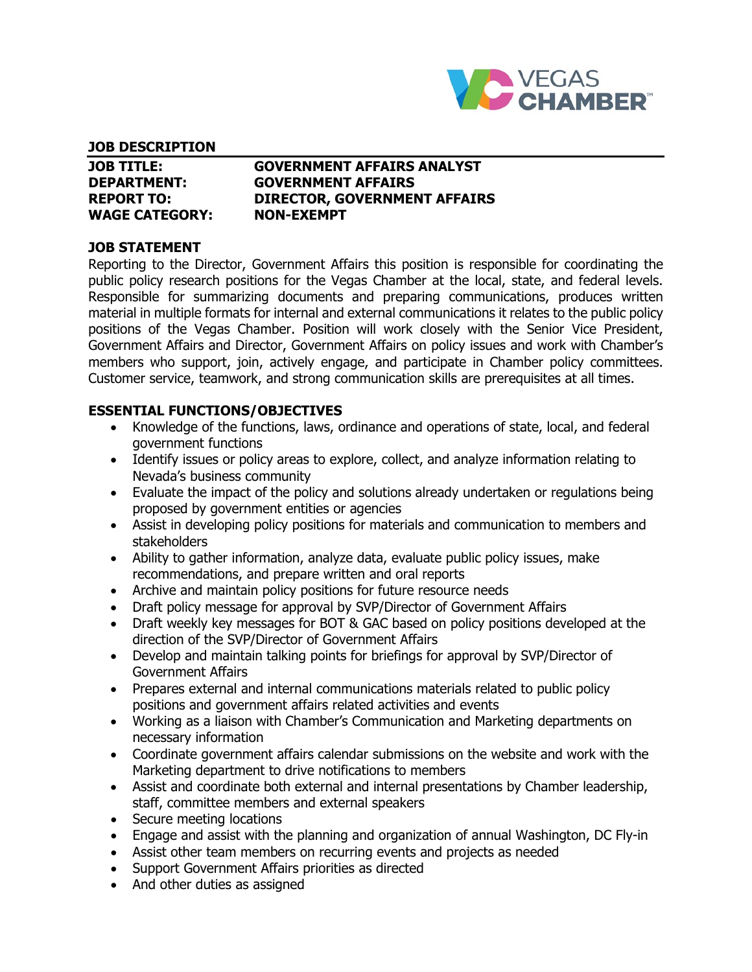

#### **JOB DESCRIPTION**

| <b>JOB TITLE:</b>     | <b>GOVERNMENT AFFAIRS ANALYST</b>   |
|-----------------------|-------------------------------------|
| <b>DEPARTMENT:</b>    | <b>GOVERNMENT AFFAIRS</b>           |
| <b>REPORT TO:</b>     | <b>DIRECTOR, GOVERNMENT AFFAIRS</b> |
| <b>WAGE CATEGORY:</b> | <b>NON-EXEMPT</b>                   |

### **JOB STATEMENT**

Reporting to the Director, Government Affairs this position is responsible for coordinating the public policy research positions for the Vegas Chamber at the local, state, and federal levels. Responsible for summarizing documents and preparing communications, produces written material in multiple formats for internal and external communications it relates to the public policy positions of the Vegas Chamber. Position will work closely with the Senior Vice President, Government Affairs and Director, Government Affairs on policy issues and work with Chamber's members who support, join, actively engage, and participate in Chamber policy committees. Customer service, teamwork, and strong communication skills are prerequisites at all times.

### **ESSENTIAL FUNCTIONS/OBJECTIVES**

- Knowledge of the functions, laws, ordinance and operations of state, local, and federal government functions
- Identify issues or policy areas to explore, collect, and analyze information relating to Nevada's business community
- Evaluate the impact of the policy and solutions already undertaken or regulations being proposed by government entities or agencies
- Assist in developing policy positions for materials and communication to members and stakeholders
- Ability to gather information, analyze data, evaluate public policy issues, make recommendations, and prepare written and oral reports
- Archive and maintain policy positions for future resource needs
- Draft policy message for approval by SVP/Director of Government Affairs
- Draft weekly key messages for BOT & GAC based on policy positions developed at the direction of the SVP/Director of Government Affairs
- Develop and maintain talking points for briefings for approval by SVP/Director of Government Affairs
- Prepares external and internal communications materials related to public policy positions and government affairs related activities and events
- Working as a liaison with Chamber's Communication and Marketing departments on necessary information
- Coordinate government affairs calendar submissions on the website and work with the Marketing department to drive notifications to members
- Assist and coordinate both external and internal presentations by Chamber leadership, staff, committee members and external speakers
- Secure meeting locations
- Engage and assist with the planning and organization of annual Washington, DC Fly-in
- Assist other team members on recurring events and projects as needed
- Support Government Affairs priorities as directed
- And other duties as assigned